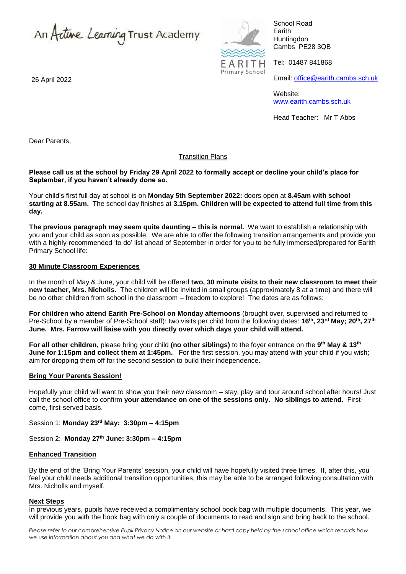An Active Learning Trust Academy

26 April 2022



School Road Earith **Huntingdon** Cambs PE28 3QB

Tel: 01487 841868

Email: [office@earith.cambs.sch.uk](mailto:office@earith.cambs.sch.uk)

Website: [www.earith.cambs.sch.uk](http://www.earith.cambs.sch.uk/)

Head Teacher: Mr T Abbs

Dear Parents,

## Transition Plans

### **Please call us at the school by Friday 29 April 2022 to formally accept or decline your child's place for September, if you haven't already done so.**

Your child's first full day at school is on **Monday 5th September 2022:** doors open at **8.45am with school starting at 8.55am.** The school day finishes at **3.15pm. Children will be expected to attend full time from this day.** 

**The previous paragraph may seem quite daunting – this is normal.** We want to establish a relationship with you and your child as soon as possible. We are able to offer the following transition arrangements and provide you with a highly-recommended 'to do' list ahead of September in order for you to be fully immersed/prepared for Earith Primary School life:

## **30 Minute Classroom Experiences**

In the month of May & June, your child will be offered **two, 30 minute visits to their new classroom to meet their new teacher, Mrs. Nicholls.** The children will be invited in small groups (approximately 8 at a time) and there will be no other children from school in the classroom – freedom to explore! The dates are as follows:

**For children who attend Earith Pre-School on Monday afternoons** (brought over, supervised and returned to Pre-School by a member of Pre-School staff): two visits per child from the following dates: **16th, 23rd May; 20th, 27th June. Mrs. Farrow will liaise with you directly over which days your child will attend.**

**For all other children,** please bring your child **(no other siblings)** to the foyer entrance on the **9 th May & 13th June for 1:15pm and collect them at 1:45pm.** For the first session, you may attend with your child if you wish; aim for dropping them off for the second session to build their independence.

# **Bring Your Parents Session!**

Hopefully your child will want to show you their new classroom – stay, play and tour around school after hours! Just call the school office to confirm **your attendance on one of the sessions only**. **No siblings to attend**. Firstcome, first-served basis.

Session 1: **Monday 23rd May: 3:30pm – 4:15pm**

Session 2: **Monday 27th June: 3:30pm – 4:15pm**

### **Enhanced Transition**

By the end of the 'Bring Your Parents' session, your child will have hopefully visited three times. If, after this, you feel your child needs additional transition opportunities, this may be able to be arranged following consultation with Mrs. Nicholls and myself.

### **Next Steps**

In previous years, pupils have received a complimentary school book bag with multiple documents. This year, we will provide you with the book bag with only a couple of documents to read and sign and bring back to the school.

*Please refer to our comprehensive Pupil Privacy Notice on our website or hard copy held by the school office which records how we use information about you and what we do with it.*